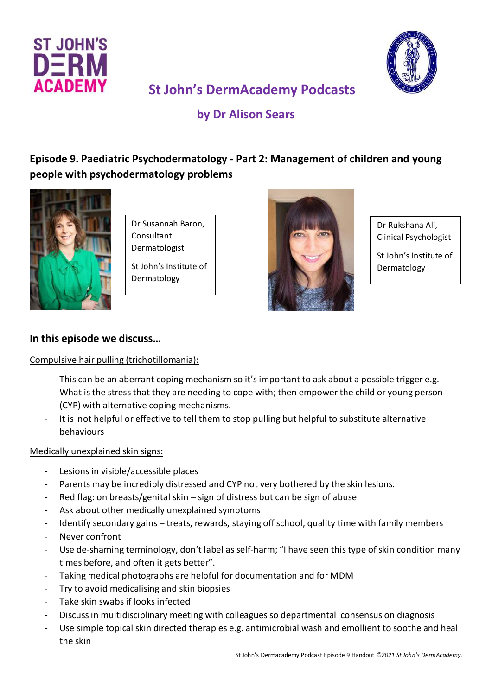



# **St John's DermAcademy Podcasts**

## **by Dr Alison Sears**

## **Episode 9. Paediatric Psychodermatology - Part 2: Management of children and young people with psychodermatology problems**



Dr Susannah Baron, Consultant Dermatologist

St John's Institute of Dermatology



Dr Rukshana Ali, Clinical Psychologist

St John's Institute of Dermatology

## **In this episode we discuss…**

#### Compulsive hair pulling (trichotillomania):

- This can be an aberrant coping mechanism so it's important to ask about a possible trigger e.g. What is the stress that they are needing to cope with; then empower the child or young person (CYP) with alternative coping mechanisms.
- It is not helpful or effective to tell them to stop pulling but helpful to substitute alternative behaviours

#### Medically unexplained skin signs:

- Lesions in visible/accessible places
- Parents may be incredibly distressed and CYP not very bothered by the skin lesions.
- Red flag: on breasts/genital skin  $-$  sign of distress but can be sign of abuse
- Ask about other medically unexplained symptoms
- Identify secondary gains treats, rewards, staying off school, quality time with family members
- Never confront
- Use de-shaming terminology, don't label as self-harm; "I have seen this type of skin condition many times before, and often it gets better".
- Taking medical photographs are helpful for documentation and for MDM
- Try to avoid medicalising and skin biopsies
- Take skin swabs if looks infected
- Discuss in multidisciplinary meeting with colleagues so departmental consensus on diagnosis
- Use simple topical skin directed therapies e.g. antimicrobial wash and emollient to soothe and heal the skin